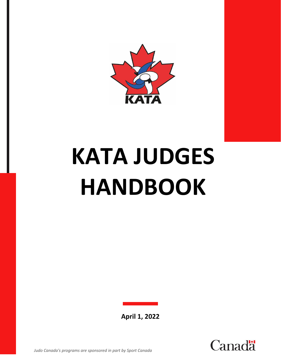

# **KATA JUDGES HANDBOOK**

**April 1, 2022**

hal



*Judo Canada's programs are sponsored in part by Sport Canada*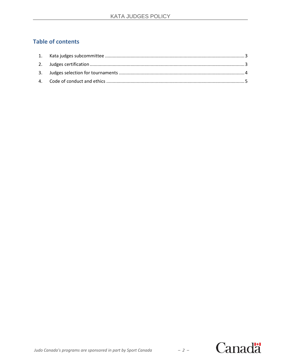# **Table of contents**



 $-2-$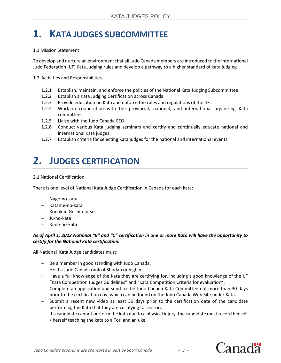# <span id="page-2-0"></span>**1. KATA JUDGES SUBCOMMITTEE**

## 1.1 Mission Statement

To develop and nurture an environment that all Judo Canada members are introduced to the International Judo Federation (IJF) Kata Judging rules and develop a pathway to a higher standard of kata judging.

## 1.2 Activities and Responsibilities

- 1.2.1 Establish, maintain, and enforce the policies of the National Kata Judging Subcommittee.
- 1.2.2 Establish a Kata Judging Certification across Canada.
- 1.2.3 Provide education on Kata and enforce the rules and regulations of the IJF.
- 1.2.4 Work in cooperation with the provincial, national, and international organizing Kata committees.
- 1.2.5 Liaise with the Judo Canada CEO.
- 1.2.6 Conduct various Kata judging seminars and certify and continually educate national and international Kata judges.
- 1.2.7 Establish criteria for selecting Kata judges for the national and international events.

# <span id="page-2-1"></span>**2. JUDGES CERTIFICATION**

#### 2.1 National Certification

There is one level of National Kata Judge Certification in Canada for each kata:

- − Nage-no-kata
- − Katame-no-kata
- − Kodokan Goshin-jutsu
- − Ju-no-kata
- − Kime-no-kata

# As of April 1, 2022 National "B" and "C" certification in one or more Kata will have the opportunity to *certify for the National Kata certification.*

All National Kata Judge candidates must:

- − Be a member in good standing with Judo Canada.
- − Hold a Judo Canada rank of Shodan or higher.
- − Have a full knowledge of the Kata they are certifying for, including a good knowledge of the IJF "Kata Competition Judges Guidelines" and "Kata Competition Criteria for evaluation".
- − Complete an application and send to the Judo Canada Kata Committee not more than 30 days prior to the certification day, which can be found on the Judo Canada Web Site under Kata.
- − Submit a recent new video at least 30 days prior to the certification date of the candidate performing the Kata that they are certifying for as Tori.
- − If a candidate cannot perform the kata due to a physical injury, the candidate must record himself / herself teaching the kata to a Tori and an uke.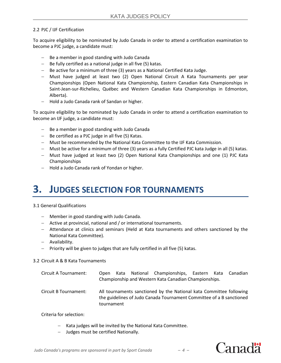# 2.2 PJC / IJF Certification

To acquire eligibility to be nominated by Judo Canada in order to attend a certification examination to become a PJC judge, a candidate must:

- − Be a member in good standing with Judo Canada
- − Be fully certified as a national judge in all five (5) katas.
- − Be active for a minimum of three (3) years as a National Certified Kata Judge.
- − Must have judged at least two (2) Open National Circuit A Kata Tournaments per year Championships (Open National Kata Championship, Eastern Canadian Kata Championships in Saint-Jean-sur-Richelieu, Québec and Western Canadian Kata Championships in Edmonton, Alberta).
- − Hold a Judo Canada rank of Sandan or higher.

To acquire eligibility to be nominated by Judo Canada in order to attend a certification examination to become an IJF judge, a candidate must:

- − Be a member in good standing with Judo Canada
- − Be certified as a PJC judge in all five (5) Katas.
- − Must be recommended by the National Kata Committee to the IJF Kata Commission.
- − Must be active for a minimum of three (3) years as a fully Certified PJC kata Judge in all (5) katas.
- − Must have judged at least two (2) Open National Kata Championships and one (1) PJC Kata Championships
- − Hold a Judo Canada rank of Yondan or higher.

# <span id="page-3-0"></span>**3. JUDGES SELECTION FOR TOURNAMENTS**

## 3.1 General Qualifications

- − Member in good standing with Judo Canada.
- − Active at provincial, national and / or international tournaments.
- − Attendance at clinics and seminars (Held at Kata tournaments and others sanctioned by the National Kata Committee).
- − Availability.
- − Priority will be given to judges that are fully certified in all five (5) katas.

## 3.2 Circuit A & B Kata Tournaments

| Circuit A Tournament:                                 | Open                                                                                                                                                      |  |  | Kata National Championships, Eastern Kata Canadian |  |  |  |
|-------------------------------------------------------|-----------------------------------------------------------------------------------------------------------------------------------------------------------|--|--|----------------------------------------------------|--|--|--|
| Championship and Western Kata Canadian Championships. |                                                                                                                                                           |  |  |                                                    |  |  |  |
| Circuit B Tournament:                                 | All tournaments sanctioned by the National kata Committee following<br>the guidelines of Judo Canada Tournament Committee of a B sanctioned<br>tournament |  |  |                                                    |  |  |  |

Criteria for selection:

- − Kata judges will be invited by the National Kata Committee.
- − Judges must be certified Nationally.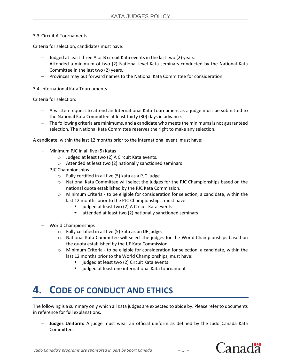## 3.3 Circuit A Tournaments

Criteria for selection, candidates must have:

- − Judged at least three A or B circuit Kata events in the last two (2) years.
- − Attended a minimum of two (2) National level Kata seminars conducted by the National Kata Committee in the last two (2) years,
- − Provinces may put forward names to the National Kata Committee for consideration.

## 3.4 International Kata Tournaments

Criteria for selection:

- − A written request to attend an International Kata Tournament as a judge must be submitted to the National Kata Committee at least thirty (30) days in advance.
- − The following criteria are minimums, and a candidate who meetsthe minimumsis not guaranteed selection. The National Kata Committee reserves the right to make any selection.

A candidate, within the last 12 months prior to the international event, must have:

- − Minimum PJC in all five (5) Katas
	- o Judged at least two (2) A Circuit Kata events.
	- o Attended at least two (2) nationally sanctioned seminars
- − PJC Championships
	- o Fully certified in all five (5) kata as a PJC judge
	- $\circ$  National Kata Committee will select the judges for the PJC Championships based on the national quota established by the PJC Kata Commission.
	- $\circ$  Minimum Criteria to be eligible for consideration for selection, a candidate, within the last 12 months prior to the PJC Championships, must have:
		- judged at least two (2) A Circuit Kata events.
		- attended at least two (2) nationally sanctioned seminars
- − World Championships
	- o Fully certified in all five (5) kata as an IJF judge.
	- $\circ$  National Kata Committee will select the judges for the World Championships based on the quota established by the IJF Kata Commission.
	- $\circ$  Minimum Criteria to be eligible for consideration for selection, a candidate, within the last 12 months prior to the World Championships, must have:
		- judged at least two (2) Circuit Kata events
		- judged at least one international Kata tournament

# <span id="page-4-0"></span>**4. CODE OF CONDUCT AND ETHICS**

The following is a summary only which all Kata judges are expected to abide by. Please refer to documents in reference for full explanations.

− **Judges Uniform:** A judge must wear an official uniform as defined by the Judo Canada Kata Committee: